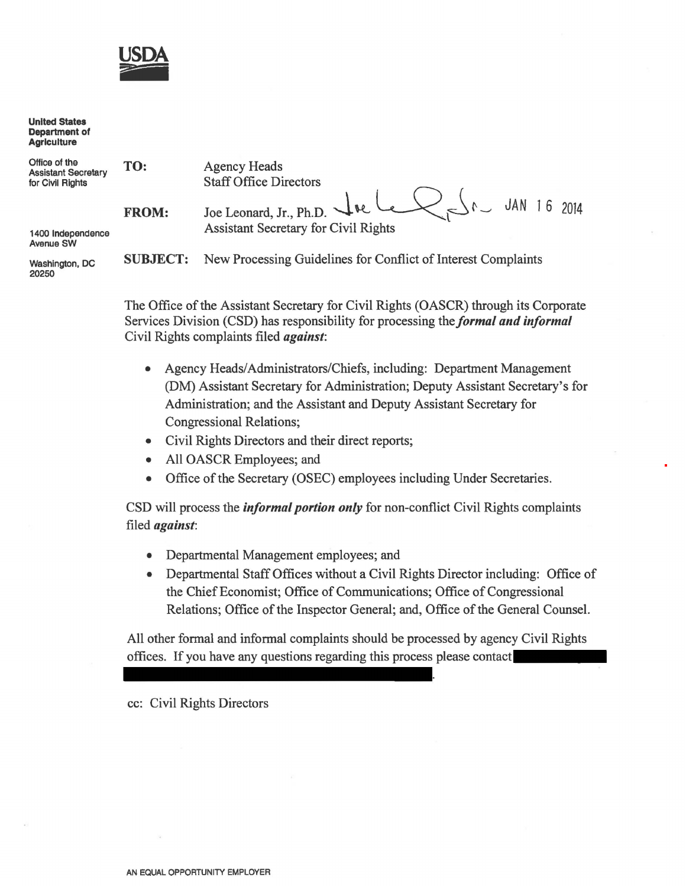

United States Department of **Agriculture** 

| Office of the<br><b>Assistant Secretary</b><br>for Civil Rights | TO:          | <b>Agency Heads</b><br><b>Staff Office Directors</b>                                                               |  |
|-----------------------------------------------------------------|--------------|--------------------------------------------------------------------------------------------------------------------|--|
| 1400 Independence                                               | <b>FROM:</b> | Joe Leonard, Jr., Ph.D. Jae Le $\bigcup_{r \leq r} f_r$ JAN 16 2014<br><b>Assistant Secretary for Civil Rights</b> |  |
| <b>Avenue SW</b>                                                |              |                                                                                                                    |  |
| <b>SUBJECT:</b><br>Washington, DC<br>20250                      |              | New Processing Guidelines for Conflict of Interest Complaints                                                      |  |

The Office of the Assistant Secretary for Civil Rights (OASCR) through its Corporate Services Division (CSD) has responsibility for processing the *formal and informal*  Civil Rights complaints filed *against:* 

- Agency Heads/ Administrators/Chiefs, including: Department Management (DM) Assistant Secretary for Administration; Deputy Assistant Secretary's for Administration; and the Assistant and Deputy Assistant Secretary for Congressional Relations;
- Civil Rights Directors and their direct reports;
- All OASCR Employees; and
- Office of the Secretary (OSEC) employees including Under Secretaries.

CSD will process the *informal portion only* for non-conflict Civil Rights complaints filed *against:* 

- Departmental Management employees; and
- Departmental Staff Offices without a Civil Rights Director including: Office of the Chief Economist; Office of Communications; Office of Congressional Relations; Office of the Inspector General; and, Office of the General Counsel.

All other formal and informal complaints should be processed by agency Civil Rights offices. If you have any questions regarding this process please contact

cc: Civil Rights Directors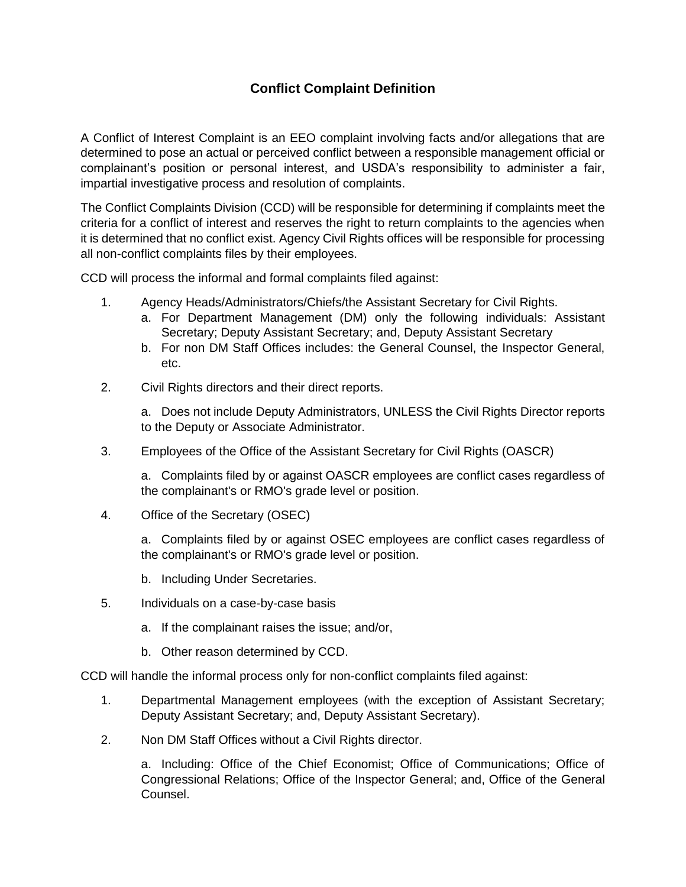# **Conflict Complaint Definition**

A Conflict of Interest Complaint is an EEO complaint involving facts and/or allegations that are determined to pose an actual or perceived conflict between a responsible management official or complainant's position or personal interest, and USDA's responsibility to administer a fair, impartial investigative process and resolution of complaints.

The Conflict Complaints Division (CCD) will be responsible for determining if complaints meet the criteria for a conflict of interest and reserves the right to return complaints to the agencies when it is determined that no conflict exist. Agency Civil Rights offices will be responsible for processing all non-conflict complaints files by their employees.

CCD will process the informal and formal complaints filed against:

- 1. Agency Heads/Administrators/Chiefs/the Assistant Secretary for Civil Rights.
	- a. For Department Management (DM) only the following individuals: Assistant Secretary; Deputy Assistant Secretary; and, Deputy Assistant Secretary
	- b. For non DM Staff Offices includes: the General Counsel, the Inspector General, etc.
- 2. Civil Rights directors and their direct reports.

a. Does not include Deputy Administrators, UNLESS the Civil Rights Director reports to the Deputy or Associate Administrator.

3. Employees of the Office of the Assistant Secretary for Civil Rights (OASCR)

a. Complaints filed by or against OASCR employees are conflict cases regardless of the complainant's or RMO's grade level or position.

4. Office of the Secretary (OSEC)

a. Complaints filed by or against OSEC employees are conflict cases regardless of the complainant's or RMO's grade level or position.

- b. Including Under Secretaries.
- 5. Individuals on a case-by-case basis
	- a. If the complainant raises the issue; and/or,
	- b. Other reason determined by CCD.

CCD will handle the informal process only for non-conflict complaints filed against:

- 1. Departmental Management employees (with the exception of Assistant Secretary; Deputy Assistant Secretary; and, Deputy Assistant Secretary).
- 2. Non DM Staff Offices without a Civil Rights director.

a. Including: Office of the Chief Economist; Office of Communications; Office of Congressional Relations; Office of the Inspector General; and, Office of the General Counsel.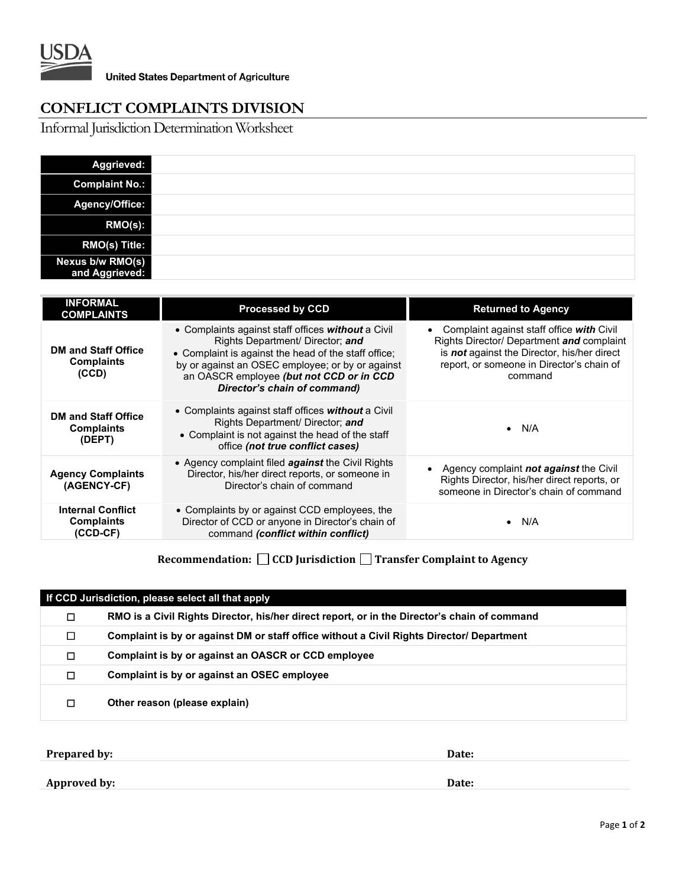

# **CONFLICT COMPLAINTS DIVISION**

Informal Jurisdiction Determination Worksheet

| Aggrieved:                         |  |
|------------------------------------|--|
| <b>Complaint No.:</b>              |  |
| Agency/Office:                     |  |
| RMO(s):                            |  |
| <b>RMO(s) Title:</b>               |  |
| Nexus b/w RMO(s)<br>and Aggrieved: |  |

| <b>INFORMAL</b><br><b>COMPLAINTS</b>                        | <b>Processed by CCD</b>                                                                                                                                                                                                                                                        | <b>Returned to Agency</b>                                                                                                                                                                            |
|-------------------------------------------------------------|--------------------------------------------------------------------------------------------------------------------------------------------------------------------------------------------------------------------------------------------------------------------------------|------------------------------------------------------------------------------------------------------------------------------------------------------------------------------------------------------|
| <b>DM and Staff Office</b><br><b>Complaints</b><br>(CCD)    | • Complaints against staff offices without a Civil<br>Rights Department/ Director; and<br>• Complaint is against the head of the staff office;<br>by or against an OSEC employee; or by or against<br>an OASCR employee (but not CCD or in CCD<br>Director's chain of command) | Complaint against staff office with Civil<br>Rights Director/ Department and complaint<br>is <b>not</b> against the Director, his/her direct<br>report, or someone in Director's chain of<br>command |
| <b>DM and Staff Office</b><br><b>Complaints</b><br>(DEPT)   | • Complaints against staff offices without a Civil<br>Rights Department/ Director; and<br>• Complaint is not against the head of the staff<br>office (not true conflict cases)                                                                                                 | N/A<br>$\bullet$                                                                                                                                                                                     |
| <b>Agency Complaints</b><br>(AGENCY-CF)                     | • Agency complaint filed <b>against</b> the Civil Rights<br>Director, his/her direct reports, or someone in<br>Director's chain of command                                                                                                                                     | Agency complaint <b>not against</b> the Civil<br>Rights Director, his/her direct reports, or<br>someone in Director's chain of command                                                               |
| <b>Internal Conflict</b><br><b>Complaints</b><br>$(CCD-CF)$ | • Complaints by or against CCD employees, the<br>Director of CCD or anyone in Director's chain of<br>command (conflict within conflict)                                                                                                                                        | N/A<br>$\bullet$                                                                                                                                                                                     |

**Recommendation: CCD Jurisdiction Transfer Complaint to Agency**

| If CCD Jurisdiction, please select all that apply |                                                                                              |  |  |
|---------------------------------------------------|----------------------------------------------------------------------------------------------|--|--|
| □                                                 | RMO is a Civil Rights Director, his/her direct report, or in the Director's chain of command |  |  |
| □                                                 | Complaint is by or against DM or staff office without a Civil Rights Director/ Department    |  |  |
| □                                                 | Complaint is by or against an OASCR or CCD employee                                          |  |  |
| □                                                 | Complaint is by or against an OSEC employee                                                  |  |  |
| □                                                 | Other reason (please explain)                                                                |  |  |

**Prepared by: Date:**

**Date:**

**Approved by:**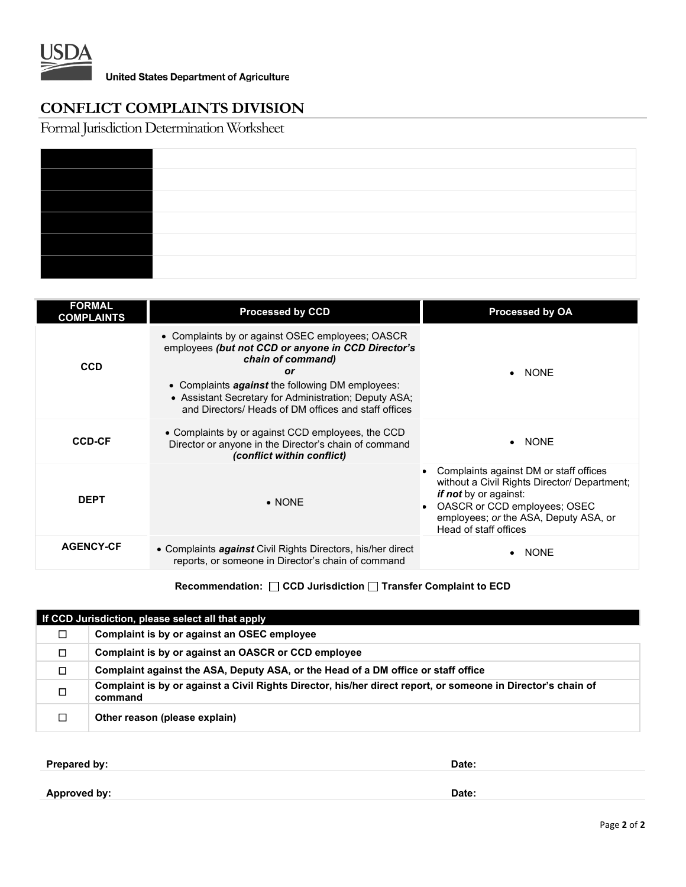

# **CONFLICT COMPLAINTS DIVISION**

Formal Jurisdiction Determination Worksheet

| <b>FORMAL</b><br><b>COMPLAINTS</b> | <b>Processed by CCD</b>                                                                                                                                                                                                                                                                                       | Processed by OA                                                                                                                                                                                                          |
|------------------------------------|---------------------------------------------------------------------------------------------------------------------------------------------------------------------------------------------------------------------------------------------------------------------------------------------------------------|--------------------------------------------------------------------------------------------------------------------------------------------------------------------------------------------------------------------------|
| <b>CCD</b>                         | • Complaints by or against OSEC employees; OASCR<br>employees (but not CCD or anyone in CCD Director's<br>chain of command)<br>or<br>• Complaints <b>against</b> the following DM employees:<br>• Assistant Secretary for Administration; Deputy ASA;<br>and Directors/ Heads of DM offices and staff offices | <b>NONE</b>                                                                                                                                                                                                              |
| <b>CCD-CF</b>                      | • Complaints by or against CCD employees, the CCD<br>Director or anyone in the Director's chain of command<br>(conflict within conflict)                                                                                                                                                                      | <b>NONE</b>                                                                                                                                                                                                              |
| <b>DEPT</b>                        | $\bullet$ NONE                                                                                                                                                                                                                                                                                                | Complaints against DM or staff offices<br>without a Civil Rights Director/ Department;<br><i>if not</i> by or against:<br>OASCR or CCD employees; OSEC<br>employees; or the ASA, Deputy ASA, or<br>Head of staff offices |
| <b>AGENCY-CF</b>                   | • Complaints <i>against</i> Civil Rights Directors, his/her direct<br>reports, or someone in Director's chain of command                                                                                                                                                                                      | <b>NONE</b>                                                                                                                                                                                                              |

#### **Recommendation:** □ CCD Jurisdiction □ Transfer Complaint to ECD

| If CCD Jurisdiction, please select all that apply |                                                                                                                         |  |  |
|---------------------------------------------------|-------------------------------------------------------------------------------------------------------------------------|--|--|
|                                                   | Complaint is by or against an OSEC employee                                                                             |  |  |
| П                                                 | Complaint is by or against an OASCR or CCD employee                                                                     |  |  |
| □                                                 | Complaint against the ASA, Deputy ASA, or the Head of a DM office or staff office                                       |  |  |
| $\Box$                                            | Complaint is by or against a Civil Rights Director, his/her direct report, or someone in Director's chain of<br>command |  |  |
|                                                   | Other reason (please explain)                                                                                           |  |  |

**Prepared by: Date:**

**Approved by: Date:**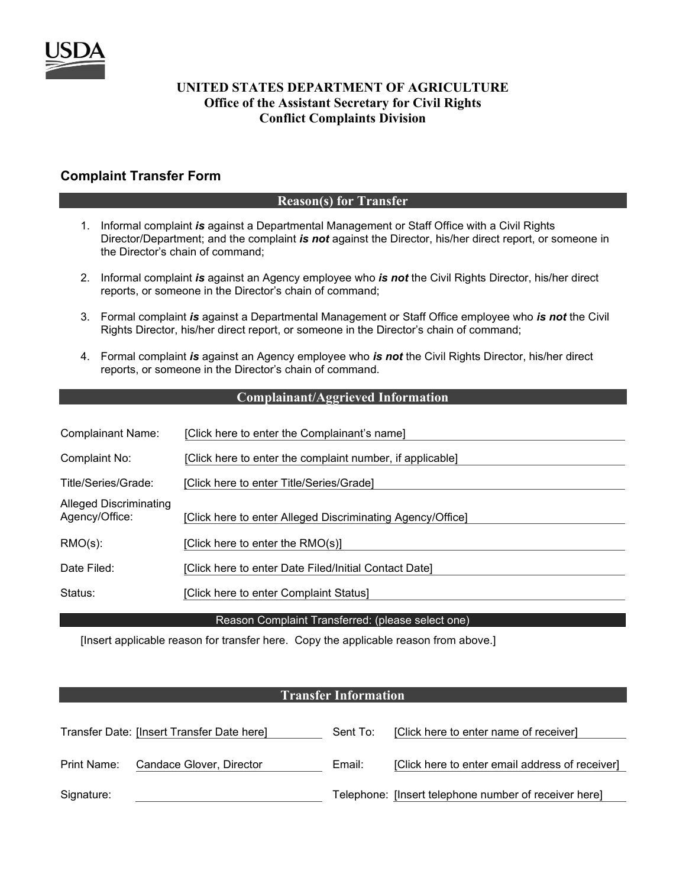

#### **UNITED STATES DEPARTMENT OF AGRICULTURE Office of the Assistant Secretary for Civil Rights Conflict Complaints Division**

# **Complaint Transfer Form**

#### **Reason(s) for Transfer**

- 1. Informal complaint *is* against a Departmental Management or Staff Office with a Civil Rights Director/Department; and the complaint *is not* against the Director, his/her direct report, or someone in the Director's chain of command;
- 2. Informal complaint *is* against an Agency employee who *is not* the Civil Rights Director, his/her direct reports, or someone in the Director's chain of command;
- 3. Formal complaint *is* against a Departmental Management or Staff Office employee who *is not* the Civil Rights Director, his/her direct report, or someone in the Director's chain of command;
- 4. Formal complaint *is* against an Agency employee who *is not* the Civil Rights Director, his/her direct reports, or someone in the Director's chain of command.

#### **Complainant/Aggrieved Information**

| <b>Complainant Name:</b>                        | [Click here to enter the Complainant's name]               |
|-------------------------------------------------|------------------------------------------------------------|
| Complaint No:                                   | [Click here to enter the complaint number, if applicable]  |
| Title/Series/Grade:                             | [Click here to enter Title/Series/Grade]                   |
| <b>Alleged Discriminating</b><br>Agency/Office: | [Click here to enter Alleged Discriminating Agency/Office] |
| $RMO(s)$ :                                      | [Click here to enter the RMO(s)]                           |
| Date Filed:                                     | [Click here to enter Date Filed/Initial Contact Date]      |
| Status:                                         | [Click here to enter Complaint Status]                     |

Reason Complaint Transferred: (please select one)

[Insert applicable reason for transfer here. Copy the applicable reason from above.]

#### **Transfer Information**

|             | Transfer Date: [Insert Transfer Date here] | Sent To: | [Click here to enter name of receiver]                |
|-------------|--------------------------------------------|----------|-------------------------------------------------------|
| Print Name: | Candace Glover, Director                   | Email:   | [Click here to enter email address of receiver]       |
| Signature:  |                                            |          | Telephone: [Insert telephone number of receiver here] |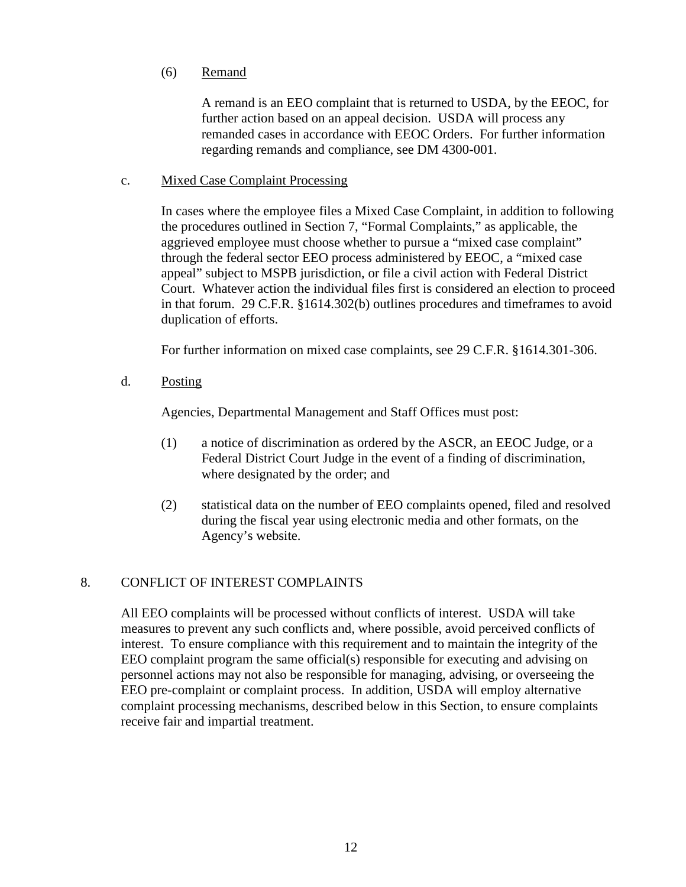# (6) Remand

A remand is an EEO complaint that is returned to USDA, by the EEOC, for further action based on an appeal decision. USDA will process any remanded cases in accordance with EEOC Orders. For further information regarding remands and compliance, see DM 4300-001.

#### c. Mixed Case Complaint Processing

In cases where the employee files a Mixed Case Complaint, in addition to following the procedures outlined in Section 7, "Formal Complaints," as applicable, the aggrieved employee must choose whether to pursue a "mixed case complaint" through the federal sector EEO process administered by EEOC, a "mixed case appeal" subject to MSPB jurisdiction, or file a civil action with Federal District Court. Whatever action the individual files first is considered an election to proceed in that forum. 29 C.F.R. §1614.302(b) outlines procedures and timeframes to avoid duplication of efforts.

For further information on mixed case complaints, see 29 C.F.R. §1614.301-306.

d. Posting

Agencies, Departmental Management and Staff Offices must post:

- (1) a notice of discrimination as ordered by the ASCR, an EEOC Judge, or a Federal District Court Judge in the event of a finding of discrimination, where designated by the order; and
- (2) statistical data on the number of EEO complaints opened, filed and resolved during the fiscal year using electronic media and other formats, on the Agency's website.

# 8. CONFLICT OF INTEREST COMPLAINTS

All EEO complaints will be processed without conflicts of interest. USDA will take measures to prevent any such conflicts and, where possible, avoid perceived conflicts of interest. To ensure compliance with this requirement and to maintain the integrity of the EEO complaint program the same official(s) responsible for executing and advising on personnel actions may not also be responsible for managing, advising, or overseeing the EEO pre-complaint or complaint process. In addition, USDA will employ alternative complaint processing mechanisms, described below in this Section, to ensure complaints receive fair and impartial treatment.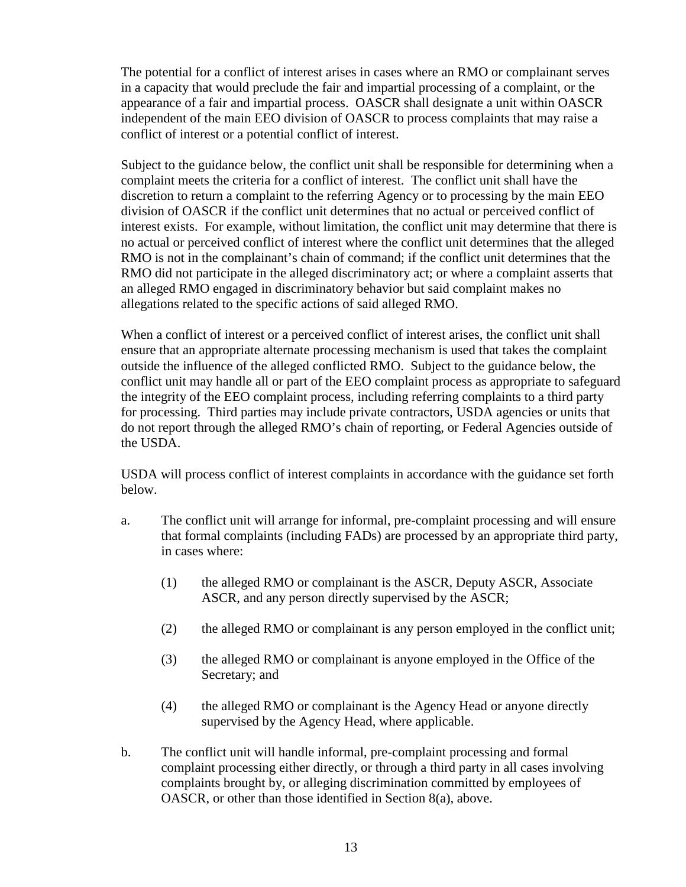The potential for a conflict of interest arises in cases where an RMO or complainant serves in a capacity that would preclude the fair and impartial processing of a complaint, or the appearance of a fair and impartial process. OASCR shall designate a unit within OASCR independent of the main EEO division of OASCR to process complaints that may raise a conflict of interest or a potential conflict of interest.

Subject to the guidance below, the conflict unit shall be responsible for determining when a complaint meets the criteria for a conflict of interest. The conflict unit shall have the discretion to return a complaint to the referring Agency or to processing by the main EEO division of OASCR if the conflict unit determines that no actual or perceived conflict of interest exists. For example, without limitation, the conflict unit may determine that there is no actual or perceived conflict of interest where the conflict unit determines that the alleged RMO is not in the complainant's chain of command; if the conflict unit determines that the RMO did not participate in the alleged discriminatory act; or where a complaint asserts that an alleged RMO engaged in discriminatory behavior but said complaint makes no allegations related to the specific actions of said alleged RMO.

When a conflict of interest or a perceived conflict of interest arises, the conflict unit shall ensure that an appropriate alternate processing mechanism is used that takes the complaint outside the influence of the alleged conflicted RMO. Subject to the guidance below, the conflict unit may handle all or part of the EEO complaint process as appropriate to safeguard the integrity of the EEO complaint process, including referring complaints to a third party for processing. Third parties may include private contractors, USDA agencies or units that do not report through the alleged RMO's chain of reporting, or Federal Agencies outside of the USDA.

USDA will process conflict of interest complaints in accordance with the guidance set forth below.

- a. The conflict unit will arrange for informal, pre-complaint processing and will ensure that formal complaints (including FADs) are processed by an appropriate third party, in cases where:
	- (1) the alleged RMO or complainant is the ASCR, Deputy ASCR, Associate ASCR, and any person directly supervised by the ASCR;
	- (2) the alleged RMO or complainant is any person employed in the conflict unit;
	- (3) the alleged RMO or complainant is anyone employed in the Office of the Secretary; and
	- (4) the alleged RMO or complainant is the Agency Head or anyone directly supervised by the Agency Head, where applicable.
- b. The conflict unit will handle informal, pre-complaint processing and formal complaint processing either directly, or through a third party in all cases involving complaints brought by, or alleging discrimination committed by employees of OASCR, or other than those identified in Section 8(a), above.